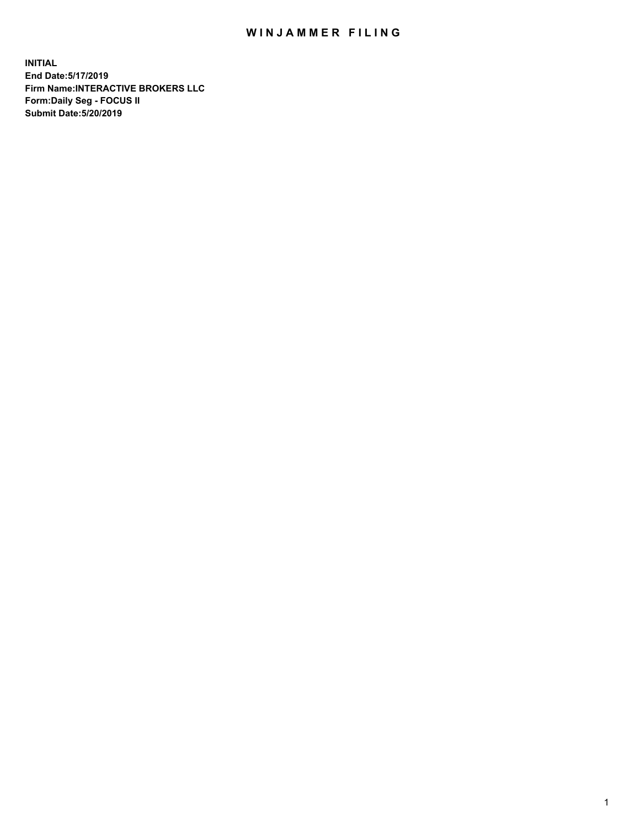## WIN JAMMER FILING

**INITIAL End Date:5/17/2019 Firm Name:INTERACTIVE BROKERS LLC Form:Daily Seg - FOCUS II Submit Date:5/20/2019**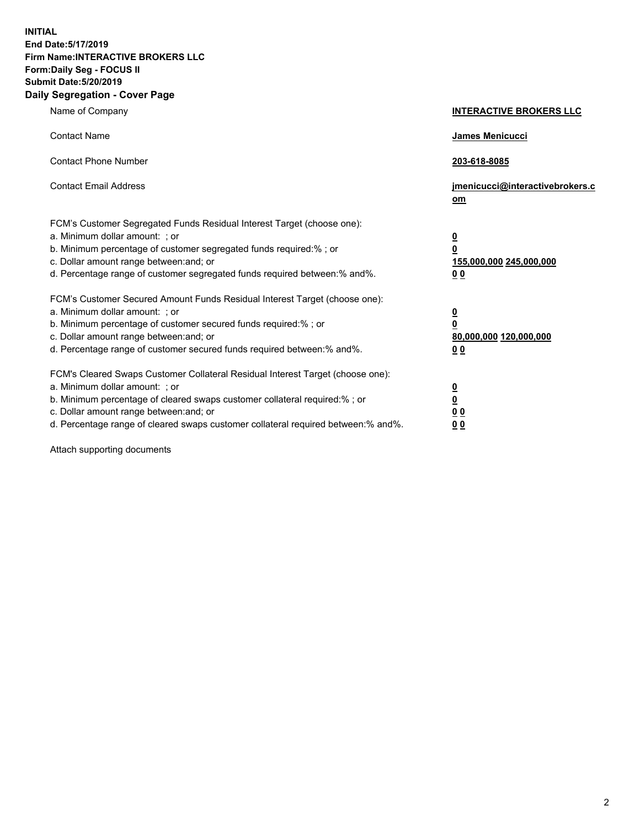**INITIAL End Date:5/17/2019 Firm Name:INTERACTIVE BROKERS LLC Form:Daily Seg - FOCUS II Submit Date:5/20/2019 Daily Segregation - Cover Page**

| Name of Company                                                                                                                                                                                                                                                                                                                | <b>INTERACTIVE BROKERS LLC</b>                                                   |
|--------------------------------------------------------------------------------------------------------------------------------------------------------------------------------------------------------------------------------------------------------------------------------------------------------------------------------|----------------------------------------------------------------------------------|
| <b>Contact Name</b>                                                                                                                                                                                                                                                                                                            | James Menicucci                                                                  |
| <b>Contact Phone Number</b>                                                                                                                                                                                                                                                                                                    | 203-618-8085                                                                     |
| <b>Contact Email Address</b>                                                                                                                                                                                                                                                                                                   | jmenicucci@interactivebrokers.c<br>om                                            |
| FCM's Customer Segregated Funds Residual Interest Target (choose one):<br>a. Minimum dollar amount: ; or<br>b. Minimum percentage of customer segregated funds required:% ; or<br>c. Dollar amount range between: and; or<br>d. Percentage range of customer segregated funds required between:% and%.                         | <u>0</u><br>$\overline{\mathbf{0}}$<br>155,000,000 245,000,000<br>0 <sub>0</sub> |
| FCM's Customer Secured Amount Funds Residual Interest Target (choose one):<br>a. Minimum dollar amount: ; or<br>b. Minimum percentage of customer secured funds required:% ; or<br>c. Dollar amount range between: and; or<br>d. Percentage range of customer secured funds required between:% and%.                           | <u>0</u><br>$\overline{\mathbf{0}}$<br>80,000,000 120,000,000<br>0 <sub>0</sub>  |
| FCM's Cleared Swaps Customer Collateral Residual Interest Target (choose one):<br>a. Minimum dollar amount: ; or<br>b. Minimum percentage of cleared swaps customer collateral required:% ; or<br>c. Dollar amount range between: and; or<br>d. Percentage range of cleared swaps customer collateral required between:% and%. | <u>0</u><br>$\underline{\mathbf{0}}$<br>0 <sub>0</sub><br>0 <sub>0</sub>         |

Attach supporting documents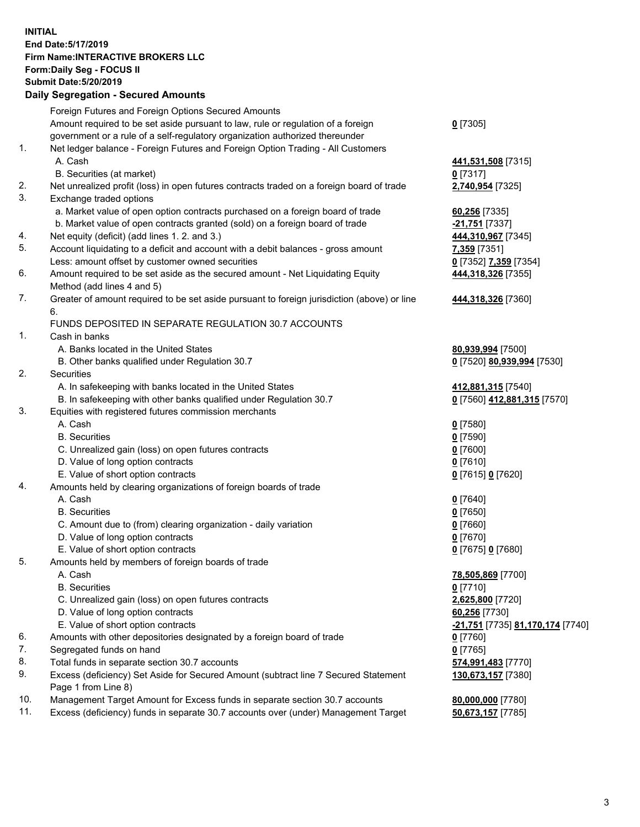## **INITIAL End Date:5/17/2019 Firm Name:INTERACTIVE BROKERS LLC Form:Daily Seg - FOCUS II Submit Date:5/20/2019 Daily Segregation - Secured Amounts**

|                | Daily Ocglegation - Occuled Aniounts                                                              |                                  |
|----------------|---------------------------------------------------------------------------------------------------|----------------------------------|
|                | Foreign Futures and Foreign Options Secured Amounts                                               |                                  |
|                | Amount required to be set aside pursuant to law, rule or regulation of a foreign                  | $0$ [7305]                       |
|                | government or a rule of a self-regulatory organization authorized thereunder                      |                                  |
| $\mathbf{1}$ . | Net ledger balance - Foreign Futures and Foreign Option Trading - All Customers                   |                                  |
|                | A. Cash                                                                                           | 441,531,508 [7315]               |
|                | B. Securities (at market)                                                                         | $0$ [7317]                       |
| 2.             | Net unrealized profit (loss) in open futures contracts traded on a foreign board of trade         | 2,740,954 [7325]                 |
| 3.             | Exchange traded options                                                                           |                                  |
|                | a. Market value of open option contracts purchased on a foreign board of trade                    | 60,256 [7335]                    |
|                | b. Market value of open contracts granted (sold) on a foreign board of trade                      | -21,751 [7337]                   |
| 4.             | Net equity (deficit) (add lines 1.2. and 3.)                                                      | 444,310,967 [7345]               |
| 5.             | Account liquidating to a deficit and account with a debit balances - gross amount                 | 7,359 [7351]                     |
|                | Less: amount offset by customer owned securities                                                  | 0 [7352] 7,359 [7354]            |
| 6.             | Amount required to be set aside as the secured amount - Net Liquidating Equity                    | 444,318,326 [7355]               |
|                | Method (add lines 4 and 5)                                                                        |                                  |
| 7.             | Greater of amount required to be set aside pursuant to foreign jurisdiction (above) or line<br>6. | 444,318,326 [7360]               |
|                | FUNDS DEPOSITED IN SEPARATE REGULATION 30.7 ACCOUNTS                                              |                                  |
| $\mathbf{1}$ . | Cash in banks                                                                                     |                                  |
|                | A. Banks located in the United States                                                             | 80,939,994 [7500]                |
|                | B. Other banks qualified under Regulation 30.7                                                    | 0 [7520] 80,939,994 [7530]       |
| 2.             | Securities                                                                                        |                                  |
|                | A. In safekeeping with banks located in the United States                                         | 412,881,315 [7540]               |
|                | B. In safekeeping with other banks qualified under Regulation 30.7                                | 0 [7560] 412,881,315 [7570]      |
| 3.             | Equities with registered futures commission merchants                                             |                                  |
|                | A. Cash                                                                                           | $0$ [7580]                       |
|                | <b>B.</b> Securities                                                                              | $0$ [7590]                       |
|                | C. Unrealized gain (loss) on open futures contracts                                               | $0$ [7600]                       |
|                | D. Value of long option contracts                                                                 | $0$ [7610]                       |
|                | E. Value of short option contracts                                                                | 0 [7615] 0 [7620]                |
| 4.             | Amounts held by clearing organizations of foreign boards of trade                                 |                                  |
|                | A. Cash                                                                                           | $0$ [7640]                       |
|                | <b>B.</b> Securities                                                                              | $0$ [7650]                       |
|                | C. Amount due to (from) clearing organization - daily variation                                   | $0$ [7660]                       |
|                | D. Value of long option contracts                                                                 | $0$ [7670]                       |
|                | E. Value of short option contracts                                                                | 0 [7675] 0 [7680]                |
| 5.             | Amounts held by members of foreign boards of trade                                                |                                  |
|                | A. Cash                                                                                           | 78,505,869 [7700]                |
|                | <b>B.</b> Securities                                                                              | $0$ [7710]                       |
|                | C. Unrealized gain (loss) on open futures contracts                                               | 2,625,800 [7720]                 |
|                | D. Value of long option contracts                                                                 | 60,256 [7730]                    |
|                | E. Value of short option contracts                                                                | -21,751 [7735] 81,170,174 [7740] |
| 6.             | Amounts with other depositories designated by a foreign board of trade                            | 0 [7760]                         |
| 7.             | Segregated funds on hand                                                                          | $0$ [7765]                       |
| 8.             | Total funds in separate section 30.7 accounts                                                     | 574,991,483 [7770]               |
| 9.             | Excess (deficiency) Set Aside for Secured Amount (subtract line 7 Secured Statement               | 130,673,157 [7380]               |
|                | Page 1 from Line 8)                                                                               |                                  |
| 10.            | Management Target Amount for Excess funds in separate section 30.7 accounts                       | 80,000,000 [7780]                |
| 11.            | Excess (deficiency) funds in separate 30.7 accounts over (under) Management Target                | 50,673,157 [7785]                |
|                |                                                                                                   |                                  |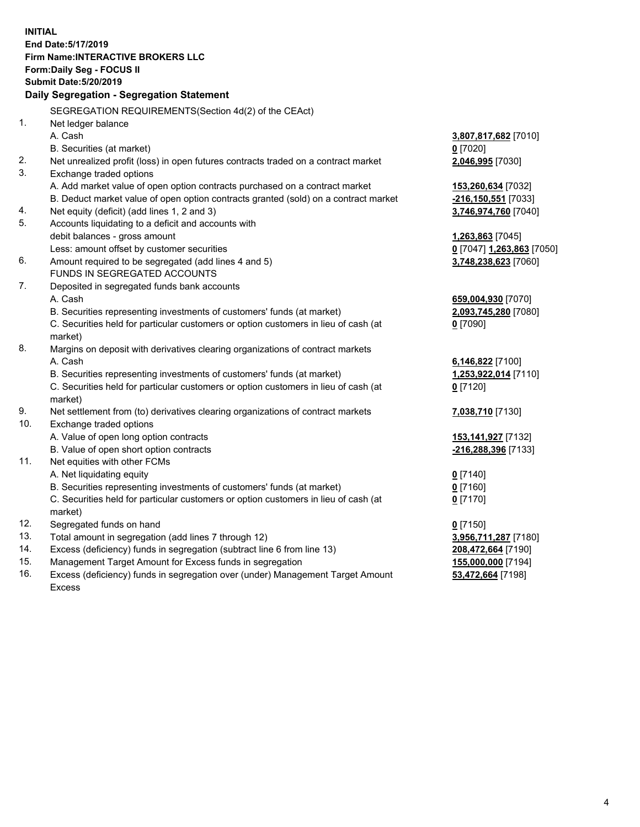**INITIAL End Date:5/17/2019 Firm Name:INTERACTIVE BROKERS LLC Form:Daily Seg - FOCUS II Submit Date:5/20/2019 Daily Segregation - Segregation Statement** SEGREGATION REQUIREMENTS(Section 4d(2) of the CEAct) 1. Net ledger balance A. Cash **3,807,817,682** [7010] B. Securities (at market) **0** [7020] 2. Net unrealized profit (loss) in open futures contracts traded on a contract market **2,046,995** [7030] 3. Exchange traded options A. Add market value of open option contracts purchased on a contract market **153,260,634** [7032] B. Deduct market value of open option contracts granted (sold) on a contract market **-216,150,551** [7033] 4. Net equity (deficit) (add lines 1, 2 and 3) **3,746,974,760** [7040] 5. Accounts liquidating to a deficit and accounts with debit balances - gross amount **1,263,863** [7045] Less: amount offset by customer securities **0** [7047] **1,263,863** [7050] 6. Amount required to be segregated (add lines 4 and 5) **3,748,238,623** [7060] FUNDS IN SEGREGATED ACCOUNTS 7. Deposited in segregated funds bank accounts A. Cash **659,004,930** [7070] B. Securities representing investments of customers' funds (at market) **2,093,745,280** [7080] C. Securities held for particular customers or option customers in lieu of cash (at market) **0** [7090] 8. Margins on deposit with derivatives clearing organizations of contract markets A. Cash **6,146,822** [7100] B. Securities representing investments of customers' funds (at market) **1,253,922,014** [7110] C. Securities held for particular customers or option customers in lieu of cash (at market) **0** [7120] 9. Net settlement from (to) derivatives clearing organizations of contract markets **7,038,710** [7130] 10. Exchange traded options A. Value of open long option contracts **153,141,927** [7132] B. Value of open short option contracts **-216,288,396** [7133] 11. Net equities with other FCMs A. Net liquidating equity **0** [7140] B. Securities representing investments of customers' funds (at market) **0** [7160] C. Securities held for particular customers or option customers in lieu of cash (at market) **0** [7170] 12. Segregated funds on hand **0** [7150] 13. Total amount in segregation (add lines 7 through 12) **3,956,711,287** [7180] 14. Excess (deficiency) funds in segregation (subtract line 6 from line 13) **208,472,664** [7190] 15. Management Target Amount for Excess funds in segregation **155,000,000** [7194]

16. Excess (deficiency) funds in segregation over (under) Management Target Amount Excess

**53,472,664** [7198]